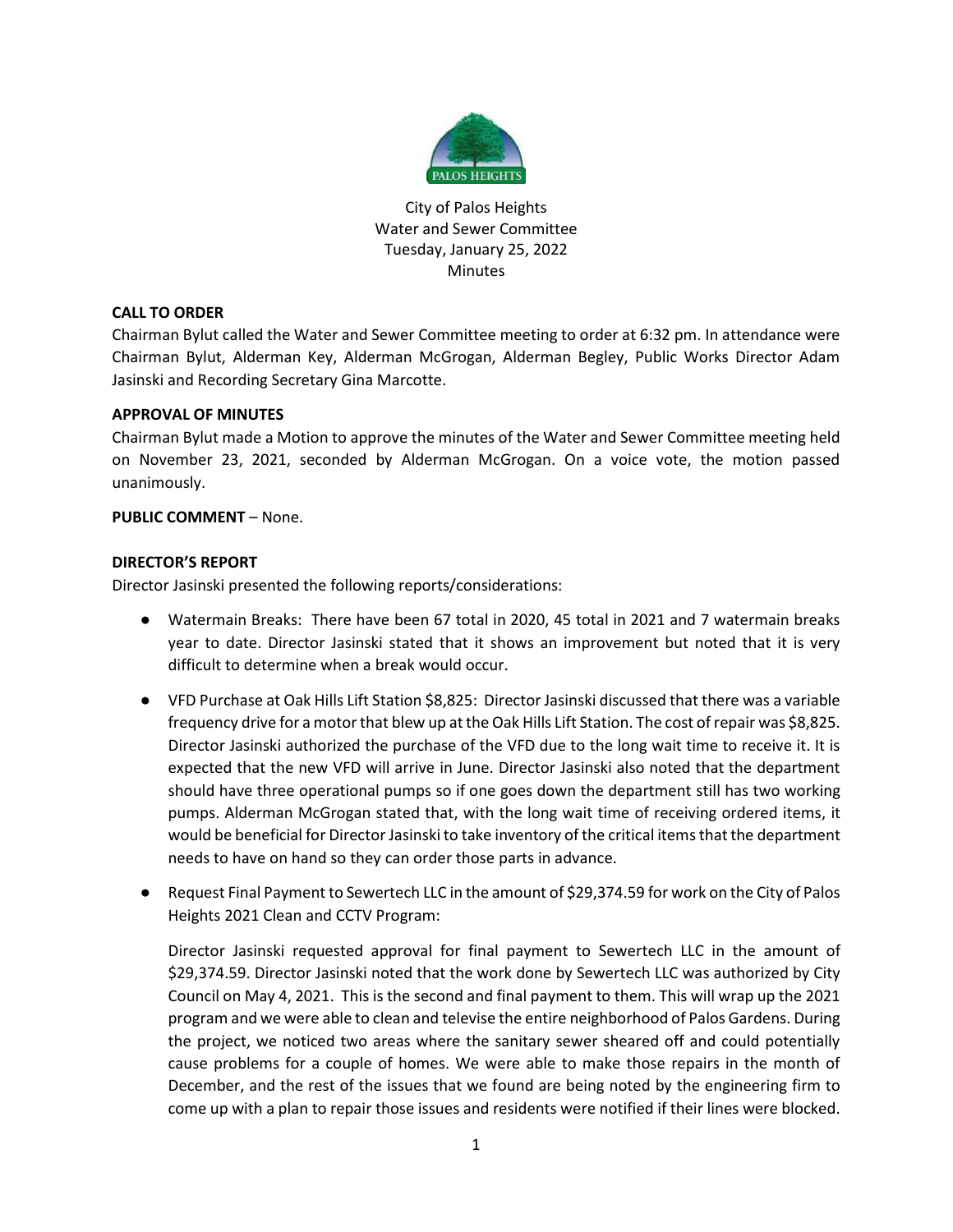

City of Palos Heights Water and Sewer Committee Tuesday, January 25, 2022 Minutes

# **CALL TO ORDER**

Chairman Bylut called the Water and Sewer Committee meeting to order at 6:32 pm. In attendance were Chairman Bylut, Alderman Key, Alderman McGrogan, Alderman Begley, Public Works Director Adam Jasinski and Recording Secretary Gina Marcotte.

# **APPROVAL OF MINUTES**

Chairman Bylut made a Motion to approve the minutes of the Water and Sewer Committee meeting held on November 23, 2021, seconded by Alderman McGrogan. On a voice vote, the motion passed unanimously.

# **PUBLIC COMMENT** – None.

## **DIRECTOR'S REPORT**

Director Jasinski presented the following reports/considerations:

- Watermain Breaks: There have been 67 total in 2020, 45 total in 2021 and 7 watermain breaks year to date. Director Jasinski stated that it shows an improvement but noted that it is very difficult to determine when a break would occur.
- VFD Purchase at Oak Hills Lift Station \$8,825: Director Jasinski discussed that there was a variable frequency drive for a motor that blew up at the Oak Hills Lift Station. The cost of repair was \$8,825. Director Jasinski authorized the purchase of the VFD due to the long wait time to receive it. It is expected that the new VFD will arrive in June. Director Jasinski also noted that the department should have three operational pumps so if one goes down the department still has two working pumps. Alderman McGrogan stated that, with the long wait time of receiving ordered items, it would be beneficial for Director Jasinski to take inventory of the critical items that the department needs to have on hand so they can order those parts in advance.
- Request Final Payment to Sewertech LLC in the amount of \$29,374.59 for work on the City of Palos Heights 2021 Clean and CCTV Program:

Director Jasinski requested approval for final payment to Sewertech LLC in the amount of \$29,374.59. Director Jasinski noted that the work done by Sewertech LLC was authorized by City Council on May 4, 2021. This is the second and final payment to them. This will wrap up the 2021 program and we were able to clean and televise the entire neighborhood of Palos Gardens. During the project, we noticed two areas where the sanitary sewer sheared off and could potentially cause problems for a couple of homes. We were able to make those repairs in the month of December, and the rest of the issues that we found are being noted by the engineering firm to come up with a plan to repair those issues and residents were notified if their lines were blocked.